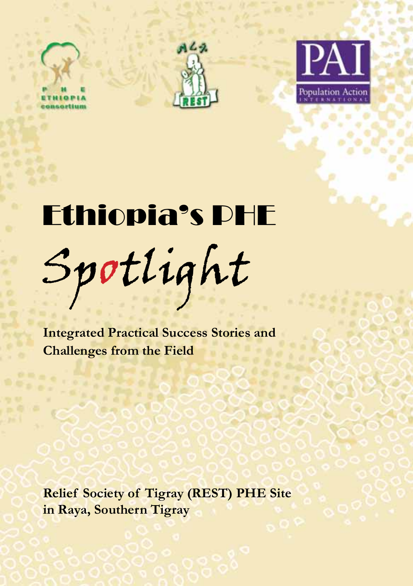



# Ethiopia's PHE Spotlight

**Integrated Practical Success Stories and Challenges from the Field**

**Relief Society of Tigray (REST) PHE Site in Raya, Southern Tigray**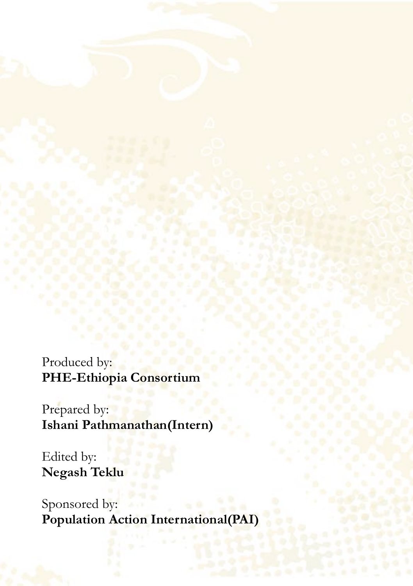Produced by: **PHE-Ethiopia Consortium**

Prepared by: **Ishani Pathmanathan(Intern)**

Edited by: **Negash Teklu**

Sponsored by: **Population Action International(PAI)**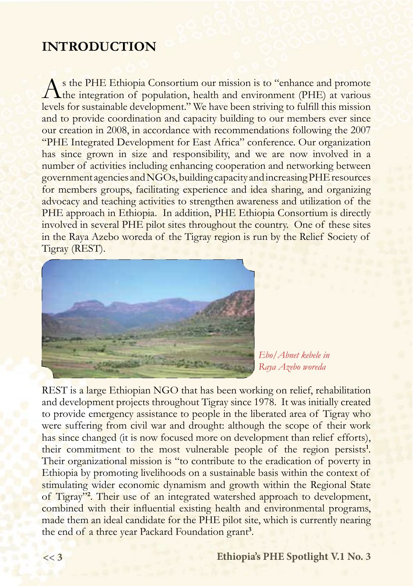### **INTRODUCTION**

As the PHE Ethiopia Consortium our mission is to "enhance and promote<br>the integration of population, health and environment (PHE) at various levels for sustainable development." We have been striving to fulfill this mission and to provide coordination and capacity building to our members ever since our creation in 2008, in accordance with recommendations following the 2007 "PHE Integrated Development for East Africa" conference. Our organization has since grown in size and responsibility, and we are now involved in a number of activities including enhancing cooperation and networking between government agencies and NGOs, building capacity and increasing PHE resources for members groups, facilitating experience and idea sharing, and organizing advocacy and teaching activities to strengthen awareness and utilization of the PHE approach in Ethiopia. In addition, PHE Ethiopia Consortium is directly involved in several PHE pilot sites throughout the country. One of these sites in the Raya Azebo woreda of the Tigray region is run by the Relief Society of Tigray (REST).



*Ebo/Abnet kebele in Raya Azebo woreda*

REST is a large Ethiopian NGO that has been working on relief, rehabilitation and development projects throughout Tigray since 1978. It was initially created to provide emergency assistance to people in the liberated area of Tigray who were suffering from civil war and drought: although the scope of their work has since changed (it is now focused more on development than relief efforts), their commitment to the most vulnerable people of the region persists**<sup>1</sup>** . Their organizational mission is "to contribute to the eradication of poverty in Ethiopia by promoting livelihoods on a sustainable basis within the context of stimulating wider economic dynamism and growth within the Regional State of Tigray"**<sup>2</sup>** . Their use of an integrated watershed approach to development, combined with their influential existing health and environmental programs, made them an ideal candidate for the PHE pilot site, which is currently nearing the end of a three year Packard Foundation grant**<sup>3</sup>** .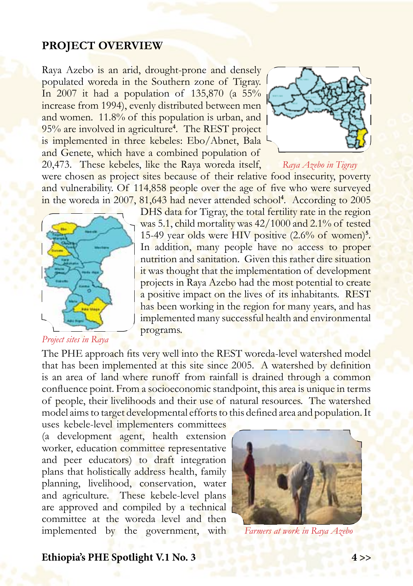#### **PROJECT OVERVIEW**

Raya Azebo is an arid, drought-prone and densely populated woreda in the Southern zone of Tigray. In 2007 it had a population of  $135,870$  (a  $55\%$ ) increase from 1994), evenly distributed between men and women. 11.8% of this population is urban, and 95% are involved in agriculture**<sup>4</sup>** . The REST project is implemented in three kebeles: Ebo/Abnet, Bala and Genete, which have a combined population of 20,473. These kebeles, like the Raya woreda itself,



*Raya Azebo in Tigray*

were chosen as project sites because of their relative food insecurity, poverty and vulnerability. Of 114,858 people over the age of five who were surveyed in the woreda in 2007, 81,643 had never attended school**<sup>4</sup>** . According to 2005



*Project sites in Raya*

DHS data for Tigray, the total fertility rate in the region was 5.1, child mortality was 42/1000 and 2.1% of tested 15-49 year olds were HIV positive (2.6% of women)**<sup>5</sup>** . In addition, many people have no access to proper nutrition and sanitation. Given this rather dire situation it was thought that the implementation of development projects in Raya Azebo had the most potential to create a positive impact on the lives of its inhabitants. REST has been working in the region for many years, and has implemented many successful health and environmental programs.

The PHE approach fits very well into the REST woreda-level watershed model that has been implemented at this site since 2005. A watershed by definition is an area of land where runoff from rainfall is drained through a common confluence point. From a socioeconomic standpoint, this area is unique in terms of people, their livelihoods and their use of natural resources. The watershed model aims to target developmental efforts to this defined area and population. It

uses kebele-level implementers committees (a development agent, health extension worker, education committee representative and peer educators) to draft integration plans that holistically address health, family planning, livelihood, conservation, water and agriculture. These kebele-level plans are approved and compiled by a technical committee at the woreda level and then implemented by the government, with



*Farmers at work in Raya Azebo*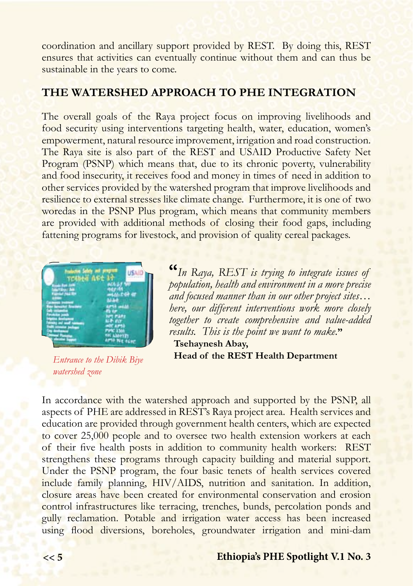coordination and ancillary support provided by REST. By doing this, REST ensures that activities can eventually continue without them and can thus be sustainable in the years to come.

#### **THE WATERSHED APPROACH TO PHE INTEGRATION**

The overall goals of the Raya project focus on improving livelihoods and food security using interventions targeting health, water, education, women's empowerment, natural resource improvement, irrigation and road construction. The Raya site is also part of the REST and USAID Productive Safety Net Program (PSNP) which means that, due to its chronic poverty, vulnerability and food insecurity, it receives food and money in times of need in addition to other services provided by the watershed program that improve livelihoods and resilience to external stresses like climate change. Furthermore, it is one of two woredas in the PSNP Plus program, which means that community members are provided with additional methods of closing their food gaps, including fattening programs for livestock, and provision of quality cereal packages.



*Entrance to the Dibik Biye watershed zone*

**"***In Raya, REST is trying to integrate issues of population, health and environment in a more precise and focused manner than in our other project sites… here, our different interventions work more closely together to create comprehensive and value-added results. This is the point we want to make.***"**

 **Tsehaynesh Abay, Head of the REST Health Department**

In accordance with the watershed approach and supported by the PSNP, all aspects of PHE are addressed in REST's Raya project area. Health services and education are provided through government health centers, which are expected to cover 25,000 people and to oversee two health extension workers at each of their five health posts in addition to community health workers: REST strengthens these programs through capacity building and material support. Under the PSNP program, the four basic tenets of health services covered include family planning, HIV/AIDS, nutrition and sanitation. In addition, closure areas have been created for environmental conservation and erosion control infrastructures like terracing, trenches, bunds, percolation ponds and gully reclamation. Potable and irrigation water access has been increased using flood diversions, boreholes, groundwater irrigation and mini-dam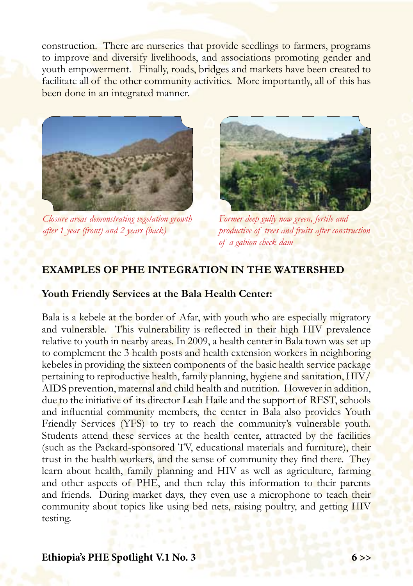construction. There are nurseries that provide seedlings to farmers, programs to improve and diversify livelihoods, and associations promoting gender and youth empowerment. Finally, roads, bridges and markets have been created to facilitate all of the other community activities. More importantly, all of this has been done in an integrated manner.



*Closure areas demonstrating vegetation growth after 1 year (front) and 2 years (back)*



*Former deep gully now green, fertile and productive of trees and fruits after construction of a gabion check dam*

#### **EXAMPLES OF PHE INTEGRATION IN THE WATERSHED**

#### **Youth Friendly Services at the Bala Health Center:**

Bala is a kebele at the border of Afar, with youth who are especially migratory and vulnerable. This vulnerability is reflected in their high HIV prevalence relative to youth in nearby areas. In 2009, a health center in Bala town was set up to complement the 3 health posts and health extension workers in neighboring kebeles in providing the sixteen components of the basic health service package pertaining to reproductive health, family planning, hygiene and sanitation, HIV/ AIDS prevention, maternal and child health and nutrition. However in addition, due to the initiative of its director Leah Haile and the support of REST, schools and influential community members, the center in Bala also provides Youth Friendly Services (YFS) to try to reach the community's vulnerable youth. Students attend these services at the health center, attracted by the facilities (such as the Packard-sponsored TV, educational materials and furniture), their trust in the health workers, and the sense of community they find there. They learn about health, family planning and HIV as well as agriculture, farming and other aspects of PHE, and then relay this information to their parents and friends. During market days, they even use a microphone to teach their community about topics like using bed nets, raising poultry, and getting HIV testing.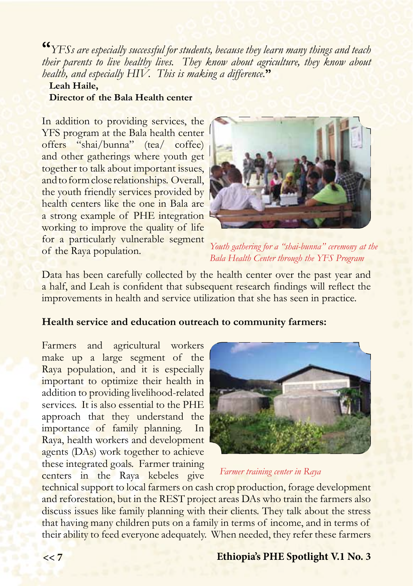**"***YFSs are especially successful for students, because they learn many things and teach their parents to live healthy lives. They know about agriculture, they know about health, and especially HIV. This is making a difference.***"** 

#### **Leah Haile, Director of the Bala Health center**

In addition to providing services, the YFS program at the Bala health center offers "shai/bunna" (tea/ coffee) and other gatherings where youth get together to talk about important issues, and to form close relationships. Overall, the youth friendly services provided by health centers like the one in Bala are a strong example of PHE integration working to improve the quality of life for a particularly vulnerable segment of the Raya population.



*Youth gathering for a "shai-bunna" ceremony at the Bala Health Center through the YFS Program*

Data has been carefully collected by the health center over the past year and a half, and Leah is confident that subsequent research findings will reflect the improvements in health and service utilization that she has seen in practice.

#### **Health service and education outreach to community farmers:**

Farmers and agricultural workers make up a large segment of the Raya population, and it is especially important to optimize their health in addition to providing livelihood-related services. It is also essential to the PHE approach that they understand the importance of family planning. In Raya, health workers and development agents (DAs) work together to achieve these integrated goals. Farmer training centers in the Raya kebeles give



#### *Farmer training center in Raya*

technical support to local farmers on cash crop production, forage development and reforestation, but in the REST project areas DAs who train the farmers also discuss issues like family planning with their clients. They talk about the stress that having many children puts on a family in terms of income, and in terms of their ability to feed everyone adequately. When needed, they refer these farmers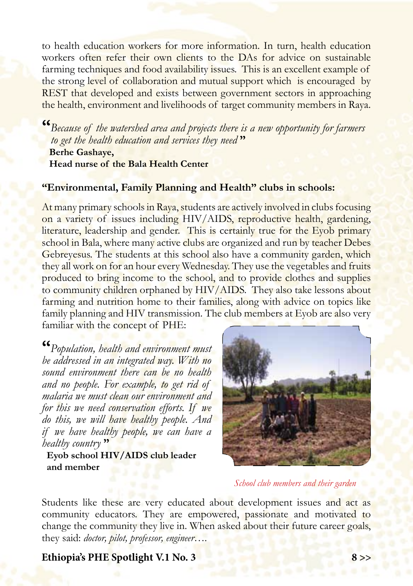to health education workers for more information. In turn, health education workers often refer their own clients to the DAs for advice on sustainable farming techniques and food availability issues. This is an excellent example of the strong level of collaboration and mutual support which is encouraged by REST that developed and exists between government sectors in approaching the health, environment and livelihoods of target community members in Raya.

**"***Because of the watershed area and projects there is a new opportunity for farmers to get the health education and services they need* **" Berhe Gashaye, Head nurse of the Bala Health Center**

#### **"Environmental, Family Planning and Health" clubs in schools:**

At many primary schools in Raya, students are actively involved in clubs focusing on a variety of issues including HIV/AIDS, reproductive health, gardening, literature, leadership and gender. This is certainly true for the Eyob primary school in Bala, where many active clubs are organized and run by teacher Debes Gebreyesus. The students at this school also have a community garden, which they all work on for an hour every Wednesday. They use the vegetables and fruits produced to bring income to the school, and to provide clothes and supplies to community children orphaned by HIV/AIDS. They also take lessons about farming and nutrition home to their families, along with advice on topics like family planning and HIV transmission. The club members at Eyob are also very familiar with the concept of PHE:

**"***Population, health and environment must be addressed in an integrated way. With no sound environment there can be no health and no people. For example, to get rid of malaria we must clean our environment and for this we need conservation efforts. If we do this, we will have healthy people. And if we have healthy people, we can have a healthy country* **"**

 $\overline{\phantom{a}}$ 

 **Eyob school HIV/AIDS club leader and member**



#### *School club members and their garden*

Students like these are very educated about development issues and act as community educators. They are empowered, passionate and motivated to change the community they live in. When asked about their future career goals, they said: *doctor, pilot, professor, engineer….*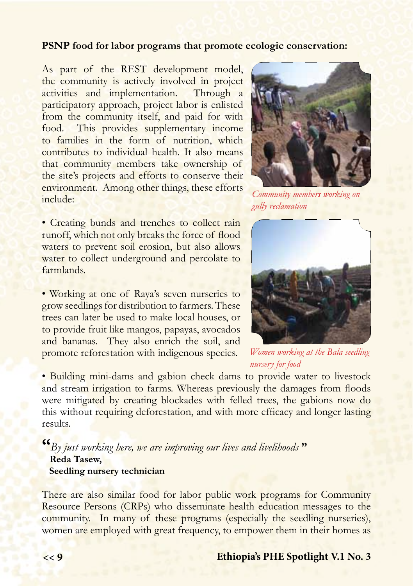#### **PSNP food for labor programs that promote ecologic conservation:**

As part of the REST development model, the community is actively involved in project activities and implementation. Through a participatory approach, project labor is enlisted from the community itself, and paid for with food. This provides supplementary income to families in the form of nutrition, which contributes to individual health. It also means that community members take ownership of the site's projects and efforts to conserve their environment. Among other things, these efforts include:

• Creating bunds and trenches to collect rain runoff, which not only breaks the force of flood waters to prevent soil erosion, but also allows water to collect underground and percolate to farmlands.

• Working at one of Raya's seven nurseries to grow seedlings for distribution to farmers. These trees can later be used to make local houses, or to provide fruit like mangos, papayas, avocados and bananas. They also enrich the soil, and promote reforestation with indigenous species.



*Community members working on gully reclamation*



*Women working at the Bala seedling nursery for food* 

• Building mini-dams and gabion check dams to provide water to livestock and stream irrigation to farms. Whereas previously the damages from floods were mitigated by creating blockades with felled trees, the gabions now do this without requiring deforestation, and with more efficacy and longer lasting results.

**"***By just working here, we are improving our lives and livelihoods* **" Reda Tasew, Seedling nursery technician**

There are also similar food for labor public work programs for Community Resource Persons (CRPs) who disseminate health education messages to the community. In many of these programs (especially the seedling nurseries), women are employed with great frequency, to empower them in their homes as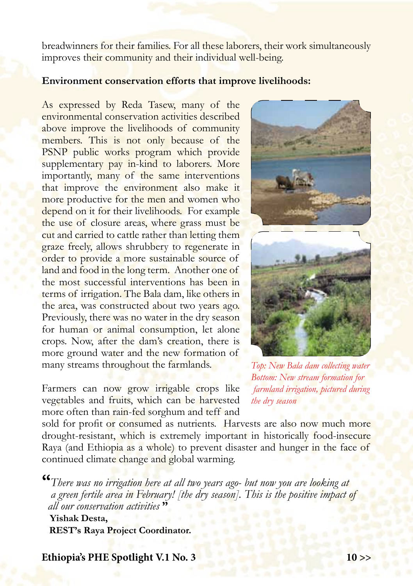breadwinners for their families. For all these laborers, their work simultaneously improves their community and their individual well-being.

#### **Environment conservation efforts that improve livelihoods:**

As expressed by Reda Tasew, many of the environmental conservation activities described above improve the livelihoods of community members. This is not only because of the PSNP public works program which provide supplementary pay in-kind to laborers. More importantly, many of the same interventions that improve the environment also make it more productive for the men and women who depend on it for their livelihoods. For example the use of closure areas, where grass must be cut and carried to cattle rather than letting them graze freely, allows shrubbery to regenerate in order to provide a more sustainable source of land and food in the long term. Another one of the most successful interventions has been in terms of irrigation. The Bala dam, like others in the area, was constructed about two years ago. Previously, there was no water in the dry season for human or animal consumption, let alone crops. Now, after the dam's creation, there is more ground water and the new formation of many streams throughout the farmlands.

Farmers can now grow irrigable crops like vegetables and fruits, which can be harvested more often than rain-fed sorghum and teff and





*Top: New Bala dam collecting water Bottom: New stream formation for farmland irrigation, pictured during the dry season*

sold for profit or consumed as nutrients. Harvests are also now much more drought-resistant, which is extremely important in historically food-insecure Raya (and Ethiopia as a whole) to prevent disaster and hunger in the face of continued climate change and global warming.

**"***There was no irrigation here at all two years ago- but now you are looking at a green fertile area in February! [the dry season]. This is the positive impact of all our conservation activities* **"**

 **Yishak Desta, REST's Raya Project Coordinator.**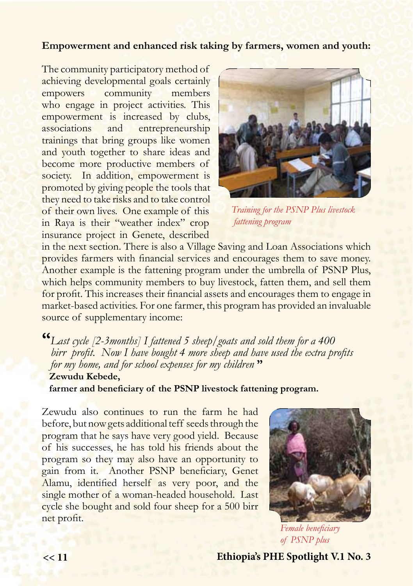#### **Empowerment and enhanced risk taking by farmers, women and youth:**

The community participatory method of achieving developmental goals certainly empowers community members who engage in project activities. This empowerment is increased by clubs, associations and entrepreneurship trainings that bring groups like women and youth together to share ideas and become more productive members of society. In addition, empowerment is promoted by giving people the tools that they need to take risks and to take control of their own lives. One example of this in Raya is their "weather index" crop insurance project in Genete, described



*Training for the PSNP Plus livestock fattening program*

in the next section. There is also a Village Saving and Loan Associations which provides farmers with financial services and encourages them to save money. Another example is the fattening program under the umbrella of PSNP Plus, which helps community members to buy livestock, fatten them, and sell them for profit. This increases their financial assets and encourages them to engage in market-based activities. For one farmer, this program has provided an invaluable source of supplementary income:

**"***Last cycle [2-3months] I fattened 5 sheep/goats and sold them for a 400*  birr *brofit.* Now I have bought 4 more sheep and have used the extra profits  *for my home, and for school expenses for my children* **" Zewudu Kebede,** 

 **farmer and beneficiary of the PSNP livestock fattening program.**

Zewudu also continues to run the farm he had before, but now gets additional teff seeds through the program that he says have very good yield. Because of his successes, he has told his friends about the program so they may also have an opportunity to gain from it. Another PSNP beneficiary, Genet Alamu, identified herself as very poor, and the single mother of a woman-headed household. Last cycle she bought and sold four sheep for a 500 birr net profit.



*Female beneficiary of PSNP plus*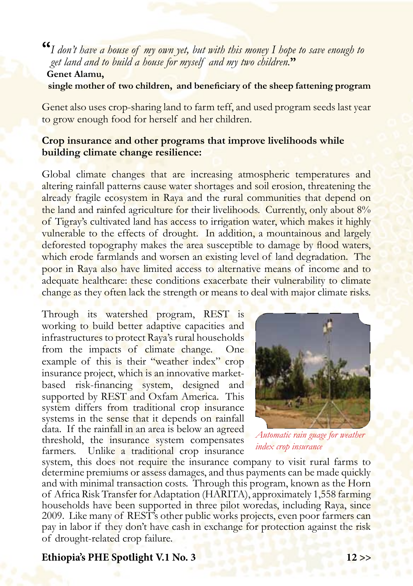**"***I don't have a house of my own yet, but with this money I hope to save enough to get land and to build a house for myself and my two children.***" Genet Alamu, single mother of two children, and beneficiary of the sheep fattening program**

Genet also uses crop-sharing land to farm teff, and used program seeds last year to grow enough food for herself and her children.

#### **Crop insurance and other programs that improve livelihoods while building climate change resilience:**

Global climate changes that are increasing atmospheric temperatures and altering rainfall patterns cause water shortages and soil erosion, threatening the already fragile ecosystem in Raya and the rural communities that depend on the land and rainfed agriculture for their livelihoods. Currently, only about 8% of Tigray's cultivated land has access to irrigation water, which makes it highly vulnerable to the effects of drought. In addition, a mountainous and largely deforested topography makes the area susceptible to damage by flood waters, which erode farmlands and worsen an existing level of land degradation. The poor in Raya also have limited access to alternative means of income and to adequate healthcare: these conditions exacerbate their vulnerability to climate change as they often lack the strength or means to deal with major climate risks.

Through its watershed program, REST is working to build better adaptive capacities and infrastructures to protect Raya's rural households from the impacts of climate change. One example of this is their "weather index" crop insurance project, which is an innovative marketbased risk-financing system, designed and supported by REST and Oxfam America. This system differs from traditional crop insurance systems in the sense that it depends on rainfall data. If the rainfall in an area is below an agreed threshold, the insurance system compensates farmers. Unlike a traditional crop insurance



*Automatic rain guage for weather index crop insurance*

system, this does not require the insurance company to visit rural farms to determine premiums or assess damages, and thus payments can be made quickly and with minimal transaction costs. Through this program, known as the Horn of Africa Risk Transfer for Adaptation (HARITA), approximately 1,558 farming households have been supported in three pilot woredas, including Raya, since 2009. Like many of REST's other public works projects, even poor farmers can pay in labor if they don't have cash in exchange for protection against the risk of drought-related crop failure.

#### **Ethiopia's PHE Spotlight V.1 No. 3 12 >>**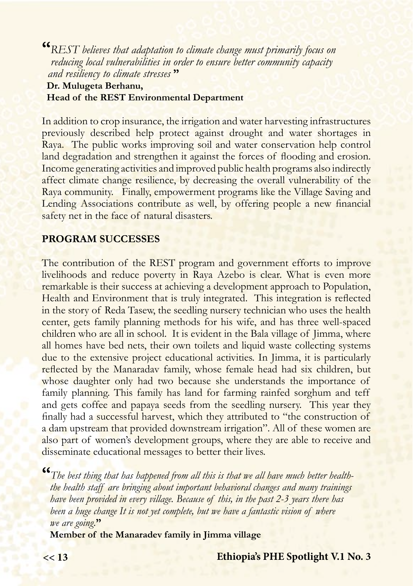**"***REST believes that adaptation to climate change must primarily focus on reducing local vulnerabilities in order to ensure better community capacity and resiliency to climate stresses* **"** 

#### **Dr. Mulugeta Berhanu, Head of the REST Environmental Department**

In addition to crop insurance, the irrigation and water harvesting infrastructures previously described help protect against drought and water shortages in Raya. The public works improving soil and water conservation help control land degradation and strengthen it against the forces of flooding and erosion. Income generating activities and improved public health programs also indirectly affect climate change resilience, by decreasing the overall vulnerability of the Raya community. Finally, empowerment programs like the Village Saving and Lending Associations contribute as well, by offering people a new financial safety net in the face of natural disasters.

#### **PROGRAM SUCCESSES**

The contribution of the REST program and government efforts to improve livelihoods and reduce poverty in Raya Azebo is clear. What is even more remarkable is their success at achieving a development approach to Population, Health and Environment that is truly integrated. This integration is reflected in the story of Reda Tasew, the seedling nursery technician who uses the health center, gets family planning methods for his wife, and has three well-spaced children who are all in school. It is evident in the Bala village of Jimma, where all homes have bed nets, their own toilets and liquid waste collecting systems due to the extensive project educational activities. In Jimma, it is particularly reflected by the Manaradav family, whose female head had six children, but whose daughter only had two because she understands the importance of family planning. This family has land for farming rainfed sorghum and teff and gets coffee and papaya seeds from the seedling nursery. This year they finally had a successful harvest, which they attributed to "the construction of a dam upstream that provided downstream irrigation". All of these women are also part of women's development groups, where they are able to receive and disseminate educational messages to better their lives.

**"***The best thing that has happened from all this is that we all have much better health the health staff are bringing about important behavioral changes and many trainings have been provided in every village. Because of this, in the past 2-3 years there has been a huge change It is not yet complete, but we have a fantastic vision of where we are going.***"**

**Member of the Manaradev family in Jimma village**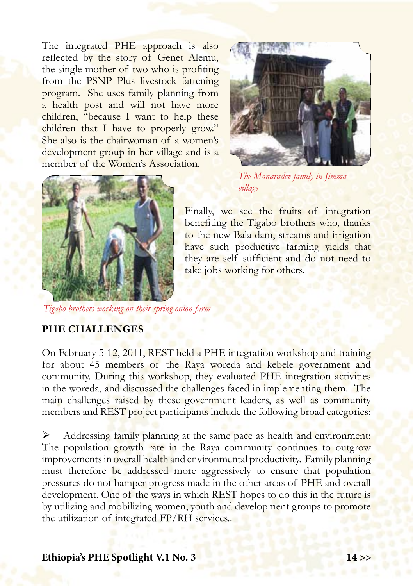The integrated PHE approach is also reflected by the story of Genet Alemu, the single mother of two who is profiting from the PSNP Plus livestock fattening program. She uses family planning from a health post and will not have more children, "because I want to help these children that I have to properly grow." She also is the chairwoman of a women's development group in her village and is a member of the Women's Association.





*The Manaradev family in Jimma village*

Finally, we see the fruits of integration benefiting the Tigabo brothers who, thanks to the new Bala dam, streams and irrigation have such productive farming yields that they are self sufficient and do not need to take jobs working for others.

*Tigabo brothers working on their spring onion farm* 

#### **PHE CHALLENGES**

On February 5-12, 2011, REST held a PHE integration workshop and training for about 45 members of the Raya woreda and kebele government and community. During this workshop, they evaluated PHE integration activities in the woreda, and discussed the challenges faced in implementing them. The main challenges raised by these government leaders, as well as community members and REST project participants include the following broad categories:

 Addressing family planning at the same pace as health and environment: The population growth rate in the Raya community continues to outgrow improvements in overall health and environmental productivity. Family planning must therefore be addressed more aggressively to ensure that population pressures do not hamper progress made in the other areas of PHE and overall development. One of the ways in which REST hopes to do this in the future is by utilizing and mobilizing women, youth and development groups to promote the utilization of integrated FP/RH services..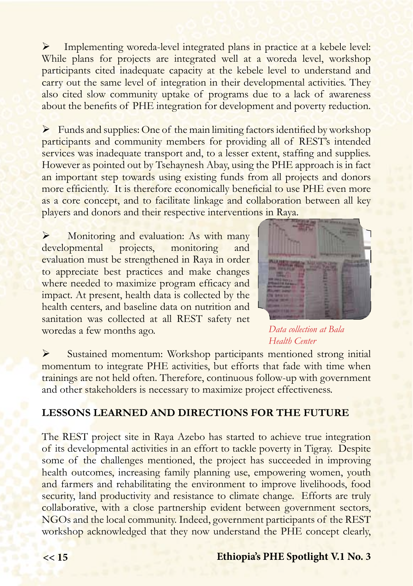Implementing woreda-level integrated plans in practice at a kebele level: While plans for projects are integrated well at a woreda level, workshop participants cited inadequate capacity at the kebele level to understand and carry out the same level of integration in their developmental activities. They also cited slow community uptake of programs due to a lack of awareness about the benefits of PHE integration for development and poverty reduction.

 $\triangleright$  Funds and supplies: One of the main limiting factors identified by workshop participants and community members for providing all of REST's intended services was inadequate transport and, to a lesser extent, staffing and supplies. However as pointed out by Tsehaynesh Abay, using the PHE approach is in fact an important step towards using existing funds from all projects and donors more efficiently. It is therefore economically beneficial to use PHE even more as a core concept, and to facilitate linkage and collaboration between all key players and donors and their respective interventions in Raya.

 Monitoring and evaluation: As with many developmental projects, monitoring and evaluation must be strengthened in Raya in order to appreciate best practices and make changes where needed to maximize program efficacy and impact. At present, health data is collected by the health centers, and baseline data on nutrition and sanitation was collected at all REST safety net woredas a few months ago.



*Data collection at Bala Health Center*

 Sustained momentum: Workshop participants mentioned strong initial momentum to integrate PHE activities, but efforts that fade with time when trainings are not held often. Therefore, continuous follow-up with government and other stakeholders is necessary to maximize project effectiveness.

#### **LESSONS LEARNED AND DIRECTIONS FOR THE FUTURE**

The REST project site in Raya Azebo has started to achieve true integration of its developmental activities in an effort to tackle poverty in Tigray. Despite some of the challenges mentioned, the project has succeeded in improving health outcomes, increasing family planning use, empowering women, youth and farmers and rehabilitating the environment to improve livelihoods, food security, land productivity and resistance to climate change. Efforts are truly collaborative, with a close partnership evident between government sectors, NGOs and the local community. Indeed, government participants of the REST workshop acknowledged that they now understand the PHE concept clearly,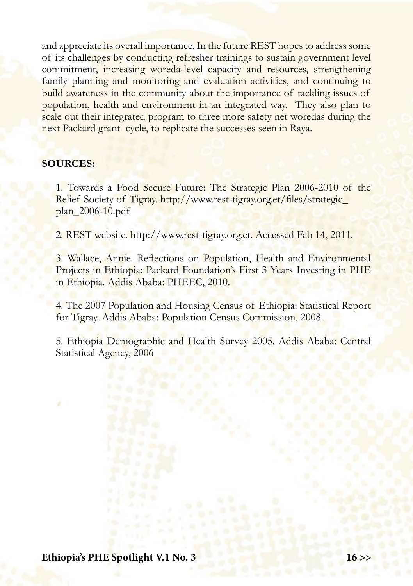and appreciate its overall importance. In the future REST hopes to address some of its challenges by conducting refresher trainings to sustain government level commitment, increasing woreda-level capacity and resources, strengthening family planning and monitoring and evaluation activities, and continuing to build awareness in the community about the importance of tackling issues of population, health and environment in an integrated way. They also plan to scale out their integrated program to three more safety net woredas during the next Packard grant cycle, to replicate the successes seen in Raya.

#### **SOURCES:**

1. Towards a Food Secure Future: The Strategic Plan 2006-2010 of the Relief Society of Tigray. http://www.rest-tigray.org.et/files/strategic\_ plan\_2006-10.pdf

2. REST website. http://www.rest-tigray.org.et. Accessed Feb 14, 2011.

3. Wallace, Annie. Reflections on Population, Health and Environmental Projects in Ethiopia: Packard Foundation's First 3 Years Investing in PHE in Ethiopia. Addis Ababa: PHEEC, 2010.

4. The 2007 Population and Housing Census of Ethiopia: Statistical Report for Tigray. Addis Ababa: Population Census Commission, 2008.

5. Ethiopia Demographic and Health Survey 2005. Addis Ababa: Central Statistical Agency, 2006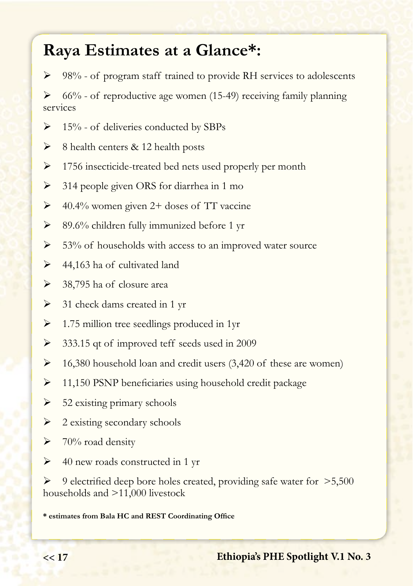## **Raya Estimates at a Glance\*:**

98% - of program staff trained to provide RH services to adolescents

 66% - of reproductive age women (15-49) receiving family planning services

- $\triangleright$  15% of deliveries conducted by SBPs
- $\triangleright$  8 health centers & 12 health posts
- $\geq 1756$  insecticide-treated bed nets used properly per month
- $\geq$  314 people given ORS for diarrhea in 1 mo
- $\geq$  40.4% women given 2+ doses of TT vaccine
- $\geq$  89.6% children fully immunized before 1 yr
- $\geq$  53% of households with access to an improved water source
- $\geq$  44,163 ha of cultivated land
- $\geq$  38,795 ha of closure area
- $\geq$  31 check dams created in 1 yr
- $\geq 1.75$  million tree seedlings produced in 1yr
- $\geq$  333.15 qt of improved teff seeds used in 2009
- $\geq 16,380$  household loan and credit users (3,420 of these are women)
- $\geq$  11,150 PSNP beneficiaries using household credit package
- $\triangleright$  52 existing primary schools
- $\geq$  2 existing secondary schools
- $\triangleright$  70% road density
- $\triangleright$  40 new roads constructed in 1 yr

 9 electrified deep bore holes created, providing safe water for >5,500 households and >11,000 livestock

**\* estimates from Bala HC and REST Coordinating Office**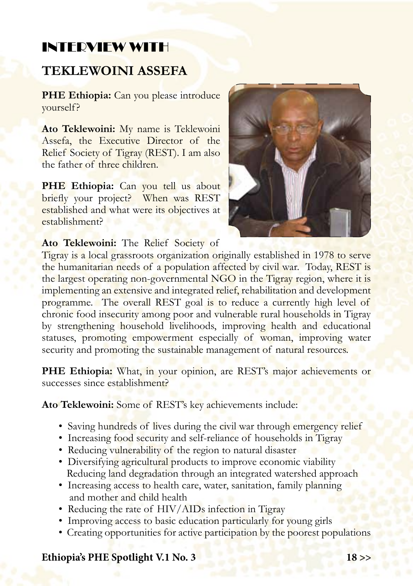## INTERVIEW WITH

### **TEKLEWOINI ASSEFA**

**PHE Ethiopia:** Can you please introduce yourself?

**Ato Teklewoini:** My name is Teklewoini Assefa, the Executive Director of the Relief Society of Tigray (REST). I am also the father of three children.

PHE Ethiopia: Can you tell us about briefly your project? When was REST established and what were its objectives at establishment?



**Ato Teklewoini:** The Relief Society of

Tigray is a local grassroots organization originally established in 1978 to serve the humanitarian needs of a population affected by civil war. Today, REST is the largest operating non-governmental NGO in the Tigray region, where it is implementing an extensive and integrated relief, rehabilitation and development programme. The overall REST goal is to reduce a currently high level of chronic food insecurity among poor and vulnerable rural households in Tigray by strengthening household livelihoods, improving health and educational statuses, promoting empowerment especially of woman, improving water security and promoting the sustainable management of natural resources.

**PHE Ethiopia:** What, in your opinion, are REST's major achievements or successes since establishment?

**Ato Teklewoini:** Some of REST's key achievements include:

- Saving hundreds of lives during the civil war through emergency relief
- Increasing food security and self-reliance of households in Tigray
- Reducing vulnerability of the region to natural disaster
- Diversifying agricultural products to improve economic viability Reducing land degradation through an integrated watershed approach
- Increasing access to health care, water, sanitation, family planning and mother and child health
- Reducing the rate of HIV/AIDs infection in Tigray
- Improving access to basic education particularly for young girls
- Creating opportunities for active participation by the poorest populations

#### **Ethiopia's PHE Spotlight V.1 No. 3 18 >>**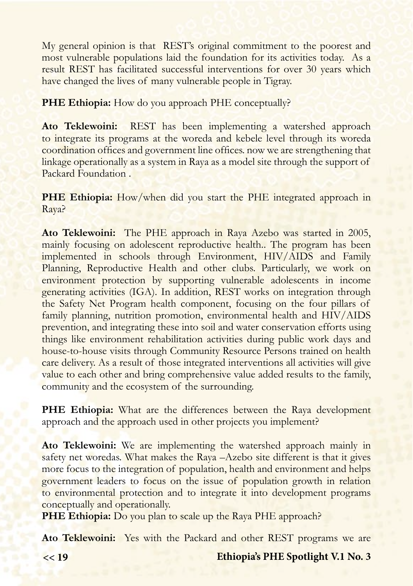My general opinion is that REST's original commitment to the poorest and most vulnerable populations laid the foundation for its activities today. As a result REST has facilitated successful interventions for over 30 years which have changed the lives of many vulnerable people in Tigray.

**PHE Ethiopia:** How do you approach PHE conceptually?

**Ato Teklewoini:** REST has been implementing a watershed approach to integrate its programs at the woreda and kebele level through its woreda coordination offices and government line offices. now we are strengthening that linkage operationally as a system in Raya as a model site through the support of Packard Foundation .

**PHE Ethiopia:** How/when did you start the PHE integrated approach in Raya?

**Ato Teklewoini:** The PHE approach in Raya Azebo was started in 2005, mainly focusing on adolescent reproductive health.. The program has been implemented in schools through Environment, HIV/AIDS and Family Planning, Reproductive Health and other clubs. Particularly, we work on environment protection by supporting vulnerable adolescents in income generating activities (IGA). In addition, REST works on integration through the Safety Net Program health component, focusing on the four pillars of family planning, nutrition promotion, environmental health and HIV/AIDS prevention, and integrating these into soil and water conservation efforts using things like environment rehabilitation activities during public work days and house-to-house visits through Community Resource Persons trained on health care delivery. As a result of those integrated interventions all activities will give value to each other and bring comprehensive value added results to the family, community and the ecosystem of the surrounding.

**PHE Ethiopia:** What are the differences between the Raya development approach and the approach used in other projects you implement?

**Ato Teklewoini:** We are implementing the watershed approach mainly in safety net woredas. What makes the Raya –Azebo site different is that it gives more focus to the integration of population, health and environment and helps government leaders to focus on the issue of population growth in relation to environmental protection and to integrate it into development programs conceptually and operationally.

**PHE Ethiopia:** Do you plan to scale up the Raya PHE approach?

**Ato Teklewoini:** Yes with the Packard and other REST programs we are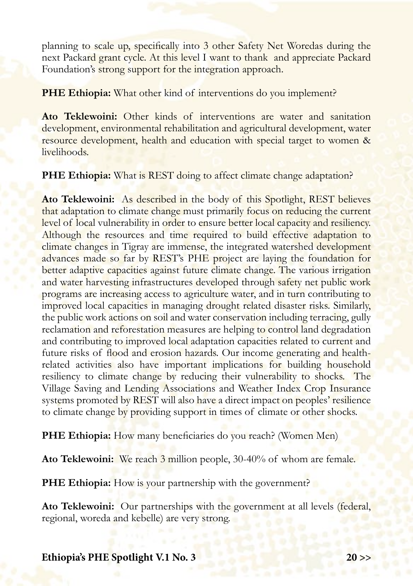planning to scale up, specifically into 3 other Safety Net Woredas during the next Packard grant cycle. At this level I want to thank and appreciate Packard Foundation's strong support for the integration approach.

**PHE Ethiopia:** What other kind of interventions do you implement?

**Ato Teklewoini:** Other kinds of interventions are water and sanitation development, environmental rehabilitation and agricultural development, water resource development, health and education with special target to women & livelihoods.

**PHE Ethiopia:** What is REST doing to affect climate change adaptation?

**Ato Teklewoini:** As described in the body of this Spotlight, REST believes that adaptation to climate change must primarily focus on reducing the current level of local vulnerability in order to ensure better local capacity and resiliency. Although the resources and time required to build effective adaptation to climate changes in Tigray are immense, the integrated watershed development advances made so far by REST's PHE project are laying the foundation for better adaptive capacities against future climate change. The various irrigation and water harvesting infrastructures developed through safety net public work programs are increasing access to agriculture water, and in turn contributing to improved local capacities in managing drought related disaster risks. Similarly, the public work actions on soil and water conservation including terracing, gully reclamation and reforestation measures are helping to control land degradation and contributing to improved local adaptation capacities related to current and future risks of flood and erosion hazards. Our income generating and healthrelated activities also have important implications for building household resiliency to climate change by reducing their vulnerability to shocks. The Village Saving and Lending Associations and Weather Index Crop Insurance systems promoted by REST will also have a direct impact on peoples' resilience to climate change by providing support in times of climate or other shocks.

**PHE Ethiopia:** How many beneficiaries do you reach? (Women Men)

**Ato Teklewoini:** We reach 3 million people, 30-40% of whom are female.

**PHE Ethiopia:** How is your partnership with the government?

**Ato Teklewoini:** Our partnerships with the government at all levels (federal, regional, woreda and kebelle) are very strong.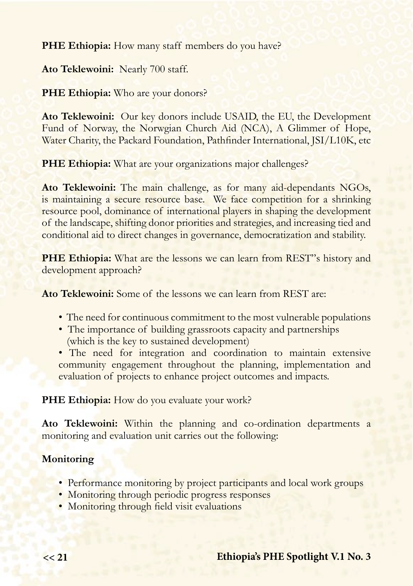**PHE Ethiopia:** How many staff members do you have?

**Ato Teklewoini:** Nearly 700 staff.

**PHE Ethiopia:** Who are your donors?

**Ato Teklewoini:** Our key donors include USAID, the EU, the Development Fund of Norway, the Norwgian Church Aid (NCA), A Glimmer of Hope, Water Charity, the Packard Foundation, Pathfinder International, JSI/L10K, etc

**PHE Ethiopia:** What are your organizations major challenges?

**Ato Teklewoini:** The main challenge, as for many aid-dependants NGOs, is maintaining a secure resource base. We face competition for a shrinking resource pool, dominance of international players in shaping the development of the landscape, shifting donor priorities and strategies, and increasing tied and conditional aid to direct changes in governance, democratization and stability.

**PHE Ethiopia:** What are the lessons we can learn from REST"s history and development approach?

**Ato Teklewoini:** Some of the lessons we can learn from REST are:

- The need for continuous commitment to the most vulnerable populations
- The importance of building grassroots capacity and partnerships (which is the key to sustained development)
- The need for integration and coordination to maintain extensive community engagement throughout the planning, implementation and evaluation of projects to enhance project outcomes and impacts.

PHE Ethiopia: How do you evaluate your work?

**Ato Teklewoini:** Within the planning and co-ordination departments a monitoring and evaluation unit carries out the following:

#### **Monitoring**

- Performance monitoring by project participants and local work groups
- Monitoring through periodic progress responses
- Monitoring through field visit evaluations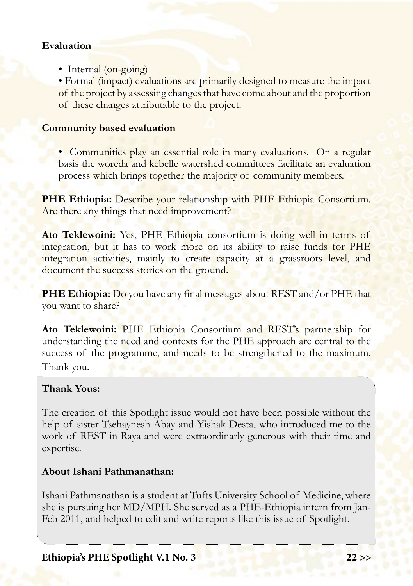#### **Evaluation**

• Internal (on-going)

• Formal (impact) evaluations are primarily designed to measure the impact of the project by assessing changes that have come about and the proportion of these changes attributable to the project.

#### **Community based evaluation**

• Communities play an essential role in many evaluations. On a regular basis the woreda and kebelle watershed committees facilitate an evaluation process which brings together the majority of community members.

**PHE Ethiopia:** Describe your relationship with PHE Ethiopia Consortium. Are there any things that need improvement?

**Ato Teklewoini:** Yes, PHE Ethiopia consortium is doing well in terms of integration, but it has to work more on its ability to raise funds for PHE integration activities, mainly to create capacity at a grassroots level, and document the success stories on the ground.

**PHE Ethiopia:** Do you have any final messages about REST and/or PHE that you want to share?

**Ato Teklewoini:** PHE Ethiopia Consortium and REST's partnership for understanding the need and contexts for the PHE approach are central to the success of the programme, and needs to be strengthened to the maximum. Thank you.

#### **Thank Yous:**

The creation of this Spotlight issue would not have been possible without the help of sister Tsehaynesh Abay and Yishak Desta, who introduced me to the work of REST in Raya and were extraordinarly generous with their time and expertise.

#### **About Ishani Pathmanathan:**

Ishani Pathmanathan is a student at Tufts University School of Medicine, where she is pursuing her MD/MPH. She served as a PHE-Ethiopia intern from Jan-Feb 2011, and helped to edit and write reports like this issue of Spotlight.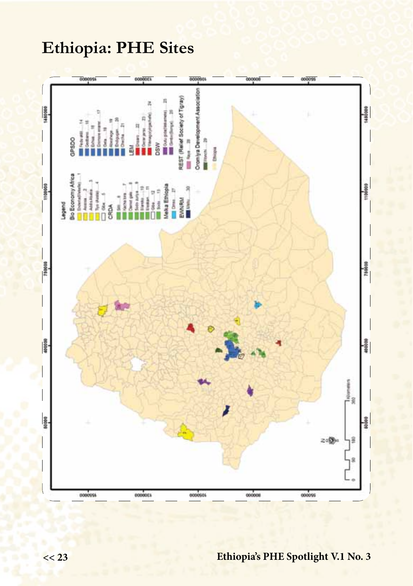## **Ethiopia: PHE Sites**